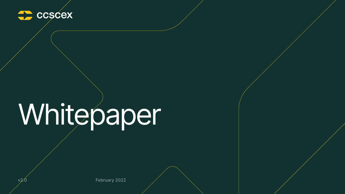

# Whitepaper

 $v2.0$  February 2022



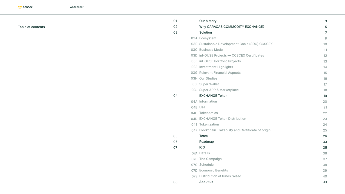| 01 | <b>Our history</b>                                    |
|----|-------------------------------------------------------|
| 02 | Why CARACAS COMMODITY EXCHANGE?                       |
| 03 | Solution                                              |
|    | 03A Ecosystem                                         |
|    | <b>03B Sustainable Development Goals (SDG) CCSCEX</b> |
|    | <b>03C Business Model</b>                             |
|    | 03D inHOUSE Projects - CCSCEX Certificates            |
|    | <b>03E inHOUSE Portfolio Projects</b>                 |
|    | <b>03F Investment Highlights</b>                      |
|    | <b>03G Relevant Financial Aspects</b>                 |
|    | 03H Our Studies                                       |
|    | <b>03I Super Wallet</b>                               |
|    | 03J Super APP & Marketplace                           |
| 04 | <b>EXCHANGE Token</b>                                 |
|    | 04A Information                                       |
|    | 04B Use                                               |
|    | 04C Tokenomics                                        |
|    | <b>04D EXCHANGE Token Distribution</b>                |
|    | <b>04E</b> Tokenization                               |
|    | 04F Blockchain Trazability and Certificate of origin  |
| 05 | Team                                                  |
| 06 | Roadmap                                               |
| 07 | <b>ICO</b>                                            |
|    | 07A Details                                           |
|    | 07B The Campaign                                      |
|    | 07C Schedule                                          |
|    | <b>07D</b> Economic Benefits                          |
|    | <b>O7E</b> Distribution of funds raised               |
| 08 | About us                                              |

#### Table of contents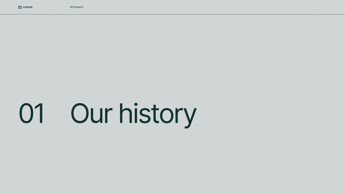Whitepaper

# 01 Our history

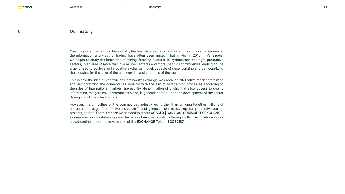#### 01 Our history

Over the years, the commodities industry has been reserved only for a few actors and, as a consequence, the information and ways of trading have often been limited. That is why, in 2015, in Venezuela, we began to study the industries of mining, forestry, exotic fruit, hydrocarbon and agro-productive sectors, in an area of more than five million hectares and more than 120 commodities, ending on the urgent need to achieve an innovative exchange model, capable of decentralizing and democratizing the industry, for the sake of the communities and countries of the region.

This is how the idea of Venezuelan Commodity Exchange was born; an alternative for decentralizing and democratizing the commodities industry with the aim of establishing processes according to the rules of international markets, traceability, denomination of origin, that allow access to quality information, mitigate environmental risks and, in general, contribute to the development of the sector through Blockchain technology.

However, the difficulties of the commodities industry go further than bringing together millions of entrepreneurs eager for effective and viable financing mechanisms to develop their productive startup projects, or both. For this reason we decided to create **CCSCEX | CARACAS COMMODITY EXCHANGE**, a comprehensive digital ecosystem that solves financing problems through collective collaboration, or crowdfunding, under the governance of the **EXCHANGE Token (\$CCSCEX)**.

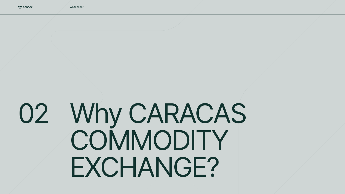Whitepaper

# Why CARACAS 02COMMODITY EXCHANGE?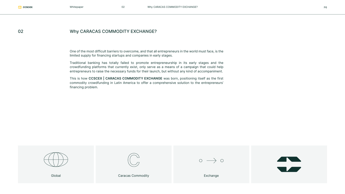One of the most difficult barriers to overcome, and that all entrepreneurs in the world must face, is the limited supply for financing startups and companies in early stages.

Traditional banking has totally failed to promote entrepreneurship in its early stages and the crowdfunding platforms that currently exist, only serve as a means of a campaign that could help entrepreneurs to raise the necessary funds for their launch, but without any kind of accompaniment.

# 02 Why CARACAS COMMODITY EXCHANGE?

This is how **CCSCEX | CARACAS COMMODITY EXCHANGE** was born, positioning itself as the first commodity crowdfunding in Latin America to offer a comprehensive solution to the entrepreneurs' financing problem.





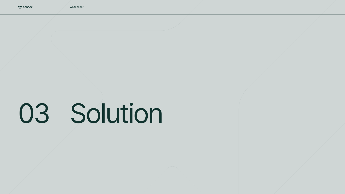Whitepaper

# 03 Solution

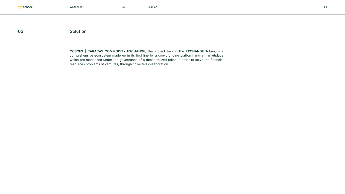**CCSCEX | CARACAS COMMODITY EXCHANGE**, the Project behind the **EXCHANGE Token**, is a comprehensive ecosystem made up in its first line by a crowdfunding platform and a marketplace which are monetized under the governance of a decentralized token in order to solve the financial resources problems of ventures, through collective collaboration.



### 03 Solution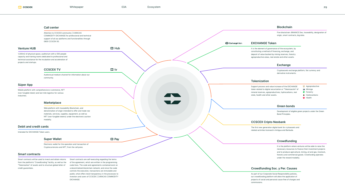#### **Smart contracts**

Smart contracts will be used to invest and obtain returns Smart contracts are self-executing regarding the terms from the platform's "Crowdfunding" facility, as well as the "Tokenization" of assets and to structure global letter of credit guarantees.

of the agreement, which are written in the programming code lines. The code and agreements contained exist on a decentralized blockchain network; and since the code controls the execution, transactions are immutable and public; what offers total transparency in the processes to investors and users of CCSCEX | CARACAS COMMODITY EXCHANGE.

#### **Crowdfunding**

It is the platform where ventures will be able to raise the necessary resources to finance their investment projects and to produce agricultural, mining, oil and gas, livestock, forestry and commercial goods. Crowfunding operates under the reward modality.

#### **CCSCEX Cripto Neobank**

The first new generation digital bank for crytoassets and related activities licensed in Antigua and Barbuda.

#### **Blockchain**

Five blockchain: BINANCE Dex, traceability, designation of origin, smart contracts, big data.

ExchangeToken

#### **Exchange**

- Agroproductive
- **Mininga P** Forestry
- **Hydrocarbons**
- Health

Cryptoassets exchange platform, fiat currency and derivative instruments.

#### **Debit and credit cards**

Intended for EXCHANGE Token users.

#### **Marketplace**

|                        | Attention to CCSCEX community   CARACAS<br>COMMODITY EXCHANGE for professional and technical<br>support of all our platforms and functionalities through<br>0800 CCSCEX 00.                             |                   |  |
|------------------------|---------------------------------------------------------------------------------------------------------------------------------------------------------------------------------------------------------|-------------------|--|
| <b>Venture HUB</b>     |                                                                                                                                                                                                         | $\Rightarrow$ Hub |  |
| projects and startups. | 1,300m2 of physical space, auditorium with a 500 people<br>capacity and training rooms dedicated to professional and<br>technical assistance for the incubation and acceleration of<br><b>CCSCEX TV</b> | $\mathbf{r}$ tv   |  |
|                        | Audiovisual medium channel for information about our<br>community.                                                                                                                                      |                   |  |
| <b>Súper App</b>       |                                                                                                                                                                                                         |                   |  |
| industries.            | Mobile platform with comprehensive e-commerce, NFT<br>(non-fungible token) and last mile logistics for various                                                                                          |                   |  |

Web platform with traceability Blockchain, and denomination of origin intended to offer and trade raw materials, services, supplies, equipment, as well as NFT (non-fungible tokens) under the electronic auction modality.

#### **Call center**

#### **Crowdfunding Soc. y Per. Causes**

As part of our Corporate Social Responsibility policies, our crowdfunding platform will allow the application of projects of social and personal cause free of charges and commissions.



#### **Green bonds**

Development of eligible green projects under the Green Bond Principles.

#### **EXCHANGE Token**

It is the element of governance of the ecosystem, by constituting a method of financing, exchange, and deposit of value backed by mining reserves, forestry agroproductive areas, real estate and other assets.

#### **Tokenization**

Support process and value increase of the EXCHANGE token related to digital securization or "Tokenización" of mineral reserves, agroproductives, hydrocarbons, real state, health and other assets.

Electronic wallet for the operation and transaction of Cryptocurrencies and NFT, from the cell pone.

#### **Super Wallet**

 $\Rightarrow$  Pay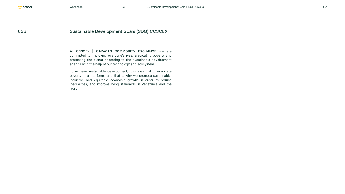# 03B Sustainable Development Goals (SDG) CCSCEX

At **CCSCEX | CARACAS COMMODITY EXCHANGE** we are committed to improving everyone's lives, eradicating poverty and protecting the planet according to the sustainable development agenda with the help of our technology and ecosystem.

To achieve sustainable development, it is essential to eradicate poverty in all its forms and that is why we promote sustainable, inclusive, and equitable economic growth in order to reduce inequalities, and improve living standards in Venezuela and the region.

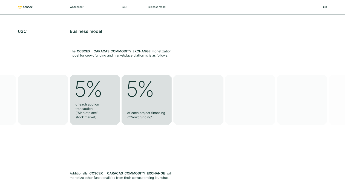The **CCSCEX | CARACAS COMMODITY EXCHANGE** monetization model for crowdfunding and marketplace platforms is as follows:

### 03C Business model

Additionally **CCSCEX | CARACAS COMMODITY EXCHANGE** will monetize other functionalities from their corresponding launches.



of each auction transaction ("Marketplace", stock market)

of each project financing ("Crowdfunding")

5% 5%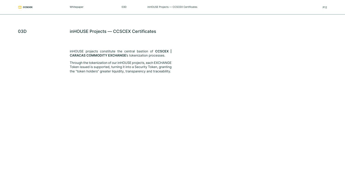inHOUSE projects constitute the central bastion of **CCSCEX | CARACAS COMMODITY EXCHANGE**'s tokenization processes.

# 03D **inHOUSE Projects — CCSCEX Certificates**

Through the tokenization of our inHOUSE projects, each EXCHANGE Token issued is supported, turning it into a Security Token, granting the "token holders" greater liquidity, transparency and traceability.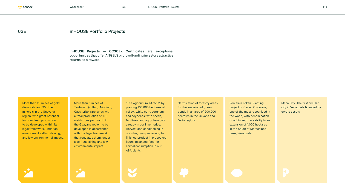### 03E inHOUSE Portfolio Projects

More than 20 mines of gold, diamonds and 35 other minerals in the Guayana region, with great potential for combined production, to be developed within its legal framework, under an environment self-sustaining, and low environmental impact. **inHOUSE Projects — CCSCEX Certificates** are exceptional opportunities that offer ANGELS or crowdfunding investors attractive returns as a reward.

More than 6 mines of Tantalium (coltan), Niobium, Cassiterite, rare lands with a total production of 100 metric tons per month in the Guayana region to be developed in accordance with the legal framework that regulates them, under a self-sustaining and low environmental impact.

"The Agricultural Miracle" by planting 100,000 hectares of yellow, white corn, sorghum and soybeans; with seeds, fertilizers and agrochemicals already in our inventories. Harvest and conditioning in our silos, own processing to finished product in precooked flours, balanced feed for animal consumption in our ABA plants.

Certification of forestry areas for the emission of green bonds in an area of 200,000 hectares in the Guyana and Delta regions.

Porcelain Token. Planting project of Cacao Porcelana, one of the most recognized in the world, with denomination of origin and traceability in an extension of 1,000 hectares in the South of Maracaibo's Lake, Venezuela.

Meca City. The first circular city in Venezuela financed by crypto assets.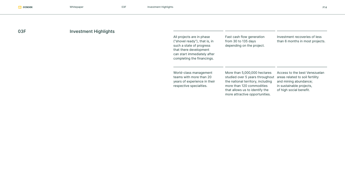# 03F Investment Highlights

| All projects are in phase<br>("shovel ready"), that is, in<br>such a state of progress<br>that there development<br>can start immediately after<br>completing the financings. | Fast cash flow generation<br>from 30 to 135 days<br>depending on the project.                                                                                                                         | Investment recoveries of less<br>than 6 months in most projects.                                                                                 |
|-------------------------------------------------------------------------------------------------------------------------------------------------------------------------------|-------------------------------------------------------------------------------------------------------------------------------------------------------------------------------------------------------|--------------------------------------------------------------------------------------------------------------------------------------------------|
| World-class management<br>teams with more than 20<br>years of experience in their<br>respective specialties.                                                                  | More than 5,000,000 hectares<br>studied over 5 years throughout<br>the national territory, including<br>more than 120 commodities<br>that allows us to identify the<br>more attractive opportunities. | Access to the best Venezuelan<br>areas related to soil fertility<br>and mining abundance;<br>in sustainable projects,<br>of high social benefit. |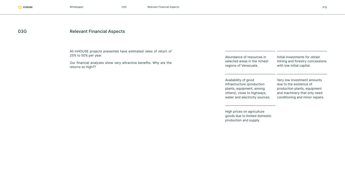All inHOUSE projects presented have estimated rates of return of 25% to 50% per year.

Our financial analyzes show very attractive benefits. Why are the returns so high??

# 03G Relevant Financial Aspects

water and electricity sources.

| )f |                                                                                     |                                                                                                |
|----|-------------------------------------------------------------------------------------|------------------------------------------------------------------------------------------------|
| e  | Abundance of resources in<br>selected areas in the richest<br>regions of Venezuela. | Initial investments for obtain<br>mining and forestry concessions<br>with low initial capital. |
|    | Availability of good<br>infrastructure (production                                  | Very low investment amounts<br>due to the existence of                                         |
|    | plants, equipment, among<br>others), close to highways,                             | production plants, equipment<br>and machinery that only need                                   |

High prices on agriculture goods due to limited domestic production and supply.

conditioning and minor repairs.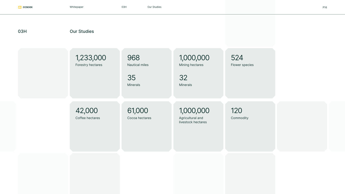Coffee hectares Cocoa hectares Agricultural and livestock hectares **Commodity** 

### 03H Our Studies

Mining hectares

Minerals Minerals 35 32

# 1,233,000 968 524 1,000,000

Forestry hectares **Nautical miles Nautical miles Constant Mining hectares Flower species** 

# 42,000 61,000 1,000,000 120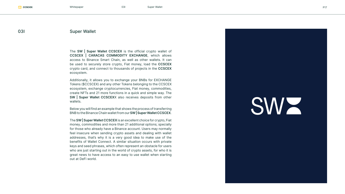The **SW | Super Wallet CCSCEX** is the official crypto wallet of **CCSCEX | CARACAS COMMODITY EXCHANGE**, which allows access to Binance Smart Chain, as well as other wallets. It can be used to securely store crypto, Fiat money, load the **CCSCEX** crypto card, and connect to thousands of projects in the **CCSCEX** ecosystem.

Additionally, it allows you to exchange your BNBs for EXCHANGE Tokens (\$CCSCEX) and any other Tokens belonging to the CCSCEX ecosystem, exchange cryptocurrencies, Fiat money, commodities, create NFTs and 21 more functions in a quick and simple way. The **SW | Super Wallet CCSCEX**X also receives deposits from other wallets.

#### 03I Super Wallet

Below you will find an example that shows the process of transferring BNB to the Binance Chain wallet from our **SW | Super Wallet CCSCEX** .

The **SW | Super Wallet CCSCEX** is an excellent choice for crypto, Fiat money, commodities and more than 21 additional options; specially for those who already have a Binance account. Users may normally feel insecure when sending crypto assets and dealing with wallet addresses, that's why it is a very good idea to make use of the benefits of Wallet Connect. A similar situation occurs with private keys and seed phrases, which often represent an obstacle for users who are just starting out in the world of crypto assets, for who it is great news to have access to an easy to use wallet when starting out at DeFi world.



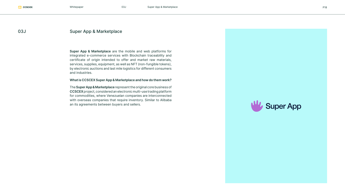**Super App & Marketplace** are the mobile and web platforms for integrated e-commerce services with Blockchain traceability and certificate of origin intended to offer and market raw materials, services, supplies, equipment, as well as NFT (non-fungible tokens), by electronic auctions and last mile logistics for different consumers and industries.

# 03J Super App & Marketplace

#### **What is CCSCEX Super App & Marketplace and how do them work?**

The **Super App & Marketplace** represent the original core business of **CCSCEX** project, considered an electronic multi-use trading platform for commodities, where Venezuelan companies are interconnected with overseas companies that require inventory. Similar to Alibaba an its agreements between buyers and sellers.



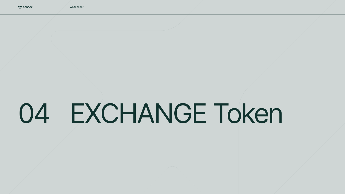Whitepaper

# 04 EXCHANGE Token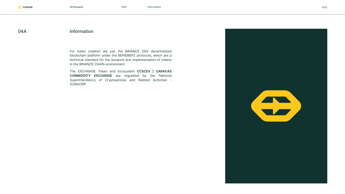Whitepaper P20

### 04A Information

For token creation we use the BINANCE DEX decentralized blockchain platform under the BEP8/BEP2 protocols; which are a technical standard for the issuance and implementation of tokens in the BINANCE CHAIN environment.

The EXCHANGE Token and Ecosystem **CCSCEX | CARACAS COMMODITY EXCHANGE** are regulated by the National Superintendency of Cryptoactives and Related Activities - SUNACRIP.

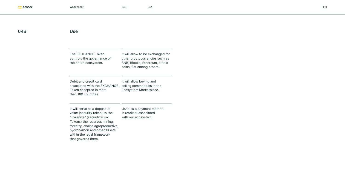| $\mathbf{\Lambda}^r$ |  |
|----------------------|--|
|----------------------|--|

### Use

| <b>The EXCHANGE Token</b><br>controls the governance of<br>the entire ecosystem.                                                                                                                                                                     | It will allow to be exchanged for<br>other cryptocurrencies such as<br>BNB, Bitcoin, Ethereum, stable<br>coins, fiat among others. |
|------------------------------------------------------------------------------------------------------------------------------------------------------------------------------------------------------------------------------------------------------|------------------------------------------------------------------------------------------------------------------------------------|
| Debit and credit card<br>associated with the EXCHANGE<br>Token accepted in more<br>than 180 countries.                                                                                                                                               | It will allow buying and<br>selling commodities in the<br>Ecosystem Marketplace.                                                   |
| It will serve as a deposit of<br>value (security token) to the<br>"Tokenize" (securitize via<br>Tokens) the reserves mining,<br>forestry, chains agroproductive,<br>hydrocarbon and other assets<br>within the legal framework<br>that governs them. | Used as a payment method<br>in retailers associated<br>with our ecosystem.                                                         |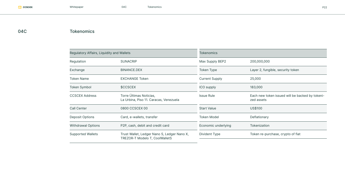## 04C Tokenomics

| Regulatory Affairs, Liquidity and Wallets |                                                                                      | <b>Tokenomics</b>     |                                                               |  |
|-------------------------------------------|--------------------------------------------------------------------------------------|-----------------------|---------------------------------------------------------------|--|
| Regulation                                | <b>SUNACRIP</b>                                                                      | Max Supply BEP2       | 200,000,000                                                   |  |
| Exchange                                  | BINANCE.DEX                                                                          | <b>Token Type</b>     | Layer 2, fungible, security token                             |  |
| <b>Token Name</b>                         | <b>EXCHANGE Token</b>                                                                | <b>Current Supply</b> | 25,000                                                        |  |
| <b>Token Symbol</b>                       | \$CCSCEX                                                                             | <b>ICO supply</b>     | 183,000                                                       |  |
| <b>CCSCEX Address</b>                     | Torre Últimas Noticias,<br>La Urbina, Piso 11. Caracas, Venezuela                    | <b>Issue Rule</b>     | Each new token issued will be backed by tokeni-<br>zed assets |  |
| <b>Call Center</b>                        | 0800 CCSCEX 00                                                                       | <b>Start Value</b>    | <b>US\$100</b>                                                |  |
| <b>Deposit Options</b>                    | Card, e-wallets, transfer                                                            | <b>Token Model</b>    | Deflationary                                                  |  |
| <b>Withdrawal Options</b>                 | P <sub>2</sub> P, cash, debit and credit card                                        | Economic underlying   | <b>Tokenization</b>                                           |  |
| <b>Supported Wallets</b>                  | Trust Wallet, Ledger Nano S, Ledger Nano X,<br><b>TREZOR-T Modelo T, CoolWalletS</b> | <b>Divident Type</b>  | Token re-purchase, crypto of fiat                             |  |
|                                           |                                                                                      |                       |                                                               |  |

 $\frac{1}{2}$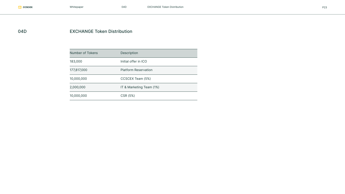## 04D **EXCHANGE Token Distribution**

| Number of Tokens | <b>Description</b>          |
|------------------|-----------------------------|
| 183,000          | Initial offer in ICO        |
| 177,817,000      | <b>Platform Reservation</b> |
| 10,000,000       | CCSCEX Team (5%)            |
| 2,000,000        | IT & Marketing Team (1%)    |
| 10,000,000       | CSR (5%)                    |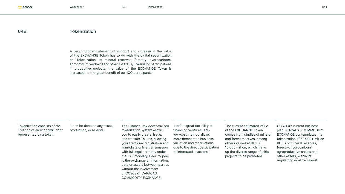#### 04E Tokenization

A very important element of support and increase in the value of the EXCHANGE Token has to do with the digital securitization or "Tokenization" of mineral reserves, forestry, hydrocarbons, agroproductive chains and other assets. By Tokenizing participations in productive projects, the value of the EXCHANGE Token is increased, to the great benefit of our ICO participants.

Tokenization consists of the creation of an economic right represented by a token.

The current estimated value of the EXCHANGE Token comes from studies of mineral and forest reserves, among others valued at BUSD 15,000 million, which make up the diverse range of initial projects to be promoted.

The Binance Dex decentralized tokenization system allows you to easily create, issue, and transfer Tokens, allowing your fractional registration and immediate online transmission, with full legal certainty under the P2P modality. Peer-to-peer is the exchange of information, data or assets between parties without the involvement of CCSCEX | CARACAS COMMODITY EXCHANGE. It offers great flexibility in financing ventures. This low-cost method allows more democratic business valuation and reservations, due to the direct participation of interested investors.

CCSCEX's current business plan | CARACAS COMMODITY EXCHANGE contemplates the tokenization of 50,000+ million BUSD of mineral reserves, forestry, hydrocarbons, agroproductive chains and other assets, within its regulatory legal framework



It can be done on any asset, production, or reserve.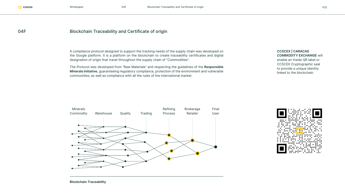# 04F Blockchain Traceability and Certificate of origin

A compliance protocol designed to support the tracking needs of the supply chain was developed on the Google platform. It is a platform on the blockchain to create traceability certificates and digital designation of origin that travel throughout the supply chain of "Commodities".

The Protocol was developed from "Raw Materials" and respecting the guidelines of the **Responsible Minerals Initiative**, guaranteeing regulatory compliance, protection of the environment and vulnerable communities; as well as compliance with all the rules of the international market.

#### **CCSCEX | CARACAS COMMODITY EXCHANGE** will

enable an Inside QR label or CCSCEX Cryptographic seal to provide a unique identity linked to the blockchain.



**Blockchain Traceability**

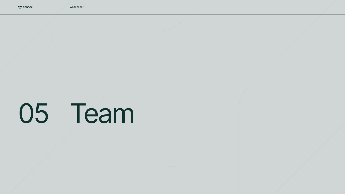# 05 Team

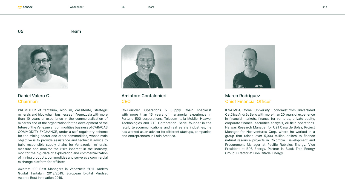# Chairman CEO Chief Financial Officer

PROMOTER of tantalum, niobium, cassiterite, strategic minerals and blockchain businesses in Venezuela with more than 10 years of experience in the commercialization of minerals and of the organization for the development of the future of the Venezuelan commodities business of CARACAS COMMODITY EXCHANGE, under a self-regulatory scheme for the mining sector and other commodities, whose main objective is to provide assistance and technical advice to build responsible supply chains for Venezuelan minerals, measure and monitor the risks inherent in the industry, monitor the big-data of exploitation and commercialization of mining products, commodities and serve as a commercial exchange platform for affiliates.

Awards: 100 Best Managers in Venezuela 2011. Anders Gustaf Tantalum 2018/2019. European Digital Mindset Awards Best Innovation 2019.



# Daniel Valero G. **Amintore Confalonieri** Marco Rodríguez

Co-Founder, Operations & Supply Chain specialist with more than 15 years of managerial experience in Fortune 500 corporations: Telecom Italia Mobile, Huawei Technologies and ZTE Corporation. Serial founder in the retail, telecommunications and real estate industries; he has worked as an advisor for different startups, companies and entrepreneurs in Latin America.



IESA MBA, Cornell University. Economist from Universidad Católica Andrés Bello with more than 20 years of experience in financial markets, finance for ventures, private equity, corporate finance, securities analysis, oil field operations. He was Research Manager for U21 Casa de Bolsa, Project Manager for Nextventures Corp. where he worked in a group that raised over 5,000 million dollars to finance natural resource projects in Colombia. Development and Procurement Manager at Pacific Rubiales Energy. Vice President at BPS Energy. Partner in Black Tree Energy Group. Director at Lion Citadel Energy.



#### 05 Team

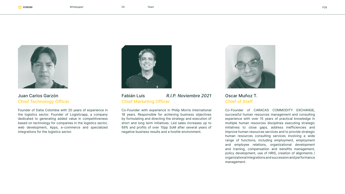#### Fabián Luis *R.I.P. Noviembre 2021* Juan Carlos Garzón Oscar Muñoz T. Chief Marketing Officer Chief Technology Officer Chief Marketing Officer Chief of Staff

Co-Founder with experience in Philip Morris International 18 years. Responsible for achieving business objectives by formulating and directing the strategy and execution of short and long term initiatives. Led sales increases up to 69% and profits of over 10pp SoM after several years of negative business results and a hostile environment.





Founder of Datia Colombia with 20 years of experience in the logistics sector. Founder of Logisticapp, a company dedicated to generating added value in competitiveness based on technology for companies in the logistics sector, web development, Apps, e-commerce and specialized integrations for the logistics sector.



Co-Founder of CARACAS COMMODITY EXCHANGE, successful human resources management and consulting experience with over 15 years of practical knowledge in multiple human resources disciplines executing strategic initiatives to close gaps, address inefficiencies and improve human resources services and to provide strategic human resources consulting services involving a wide range of functions, including employment, employment and employee relations, organizational development and training, compensation and benefits management, policy development, use of HRIS, creation of alignments / organizational integrations and succession and performance management.

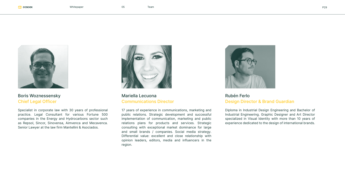## Mariella Lecuona Communications Director

17 years of experience in communications, marketing and public relations. Strategic development and successful implementation of communication, marketing and public relations plans for products and services. Strategic consulting with exceptional market dominance for large and small brands / companies. Social media strategy. Differential value: excellent and close relationship with opinion leaders, editors, media and influencers in the region.



# **Chief Legal Officer** Communications Director **Communications Director Design Director & Brand Guardian**



# Boris Woznessensky **Rubén Ferlo** Mariella Lecuona Rubén Ferlo

Specialist in corporate law with 30 years of professional practice. Legal Consultant for various Fortune 500 companies in the Energy and Hydrocarbons sector such as Repsol, Sincor, Sinovensa, Aimvenca and Mecavenca. Senior Lawyer at the law firm Mantellini & Asociados.



Diploma in Industrial Design Engineering and Bachelor of Industrial Engineering. Graphic Designer and Art Director specialized in Visual Identity with more than 10 years of experience dedicated to the design of international brands.

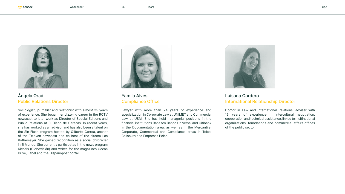# Ángela Oraá Public Relations Director

Sociologist, journalist and relationist with almost 35 years of experience. She began her dizzying career in the RCTV newscast to later work as Director of Special Editions and Public Relations at El Diario de Caracas. In recent years, she has worked as an advisor and has also been a talent on the Sin Flash program hosted by Gilberto Correa, anchor of the Televen newscast and co-host of the sitcom Las Rothemayer. She gained recognition as a social chronicler in El Mundo. She currently participates in the news program Kicosis (Globovisión) and writes for the magazines Ocean Drive, Label and the Hispanopost portal.



**Yamila Alves Luisana Cordero** 

Lawyer with more than 24 years of experience and specialization in Corporate Law at UNIMET and Commercial Law at USM. She has held managerial positions in the financial institutions Banesco Banco Universal and Citibank in the Documentation area, as well as in the Mercantile, Corporate, Commercial and Compliance areas in Telcel Bellsouth and Empresas Polar.



# Compliance Office **International Relationship Director**

Doctor in Law and International Relations, adviser with 13 years of experience in intercultural negotiation, cooperation and technical assistance, linked to multinational organizations, foundations and commercial affairs offices of the public sector.



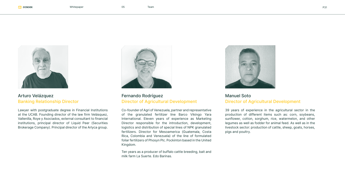# Arturo Velázquez Banking Relationship Director

Lawyer with postgraduate degree in Financial Institutions at the UCAB. Founding director of the law firm Velásquez, Vallenilla, Roye y Asociados, external consultant to financial institutions, principal director of Liquid Peer (Securities Brokerage Company). Principal director of the Arlyca group.





# Fernando Rodríguez Director of Agricultural Development

Co-founder of Agri of Venezuela, partner and representative of the granulated fertilizer line Barco Vikingo Yara International. Eleven years of experience as Marketing Director responsible for the introduction, development, logistics and distribution of special lines of NPK granulated fertilizers. Director for Mesoamerica (Guatemala, Costa Rica, Colombia and Venezuela) of the line of formulated foliar fertilizers of Phosyn Plc. Pockinton based in the United Kingdom.





milk farm La Suerte. Edo Barinas.

# Manuel Soto Director of Agricultural Development

39 years of experience in the agricultural sector in the production of different items such as: corn, soybeans, sunflower, cotton, sorghum, rice, watermelon, and other legumes as well as fodder for animal feed. As well as in the livestock sector: production of cattle, sheep, goats, horses, pigs and poultry.

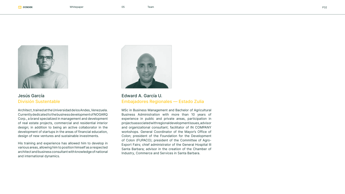# Edward A. García U. Embajadores Regionales — Estado Zulia

MSc in Business Management and Bachelor of Agricultural Business Administration with more than 10 years of experience in public and private areas, participation in projects associated with regional development issues, advisor and organizational consultant; facilitator of IN COMPANY workshops. General Coordinator of the Mayor's Office of Colon; president of the Foundation for the Development of Colon (FUPACO); president of the Committee of Agro-Export Fairs; chief administrator of the General Hospital III Santa Barbara; advisor in the creation of the Chamber of Industry, Commerce and Services in Santa Barbara.





## Jesús García División Sustentable

Architect, trained at the Universidad de los Andes, Venezuela. Currently dedicated to the business development of NOGARQ Corp., a brand specialized in management and development of real estate projects, commercial and residential interior design; in addition to being an active collaborator in the development of startups in the areas of financial education, design of new ventures and sustainable investments.

His training and experience has allowed him to develop in various areas, allowing him to position himself as a respected architect and business consultant with knowledge of national and international dynamics.

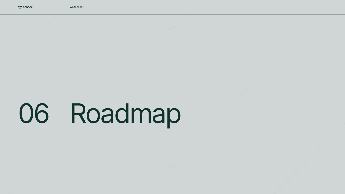Whitepaper

# 06 Roadmap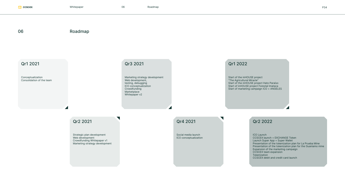Whitepaper 06 Roadmap P34

 $\blacktriangledown$ 

#### 06 Roadmap

#### Qr1 2021 Qr3 2021 Qr1 2022

Marketing strategy development Web development, testing, debugging ICO conceptualization Crowdfunding **Marketplace** Whitepaper v2

### Qr2 2021 Qr4 2021 Qr2 2022

Conceptualization Consolidation of the team

Start of the inHOUSE project "The Agricultural Miracle" Start of the inHOUSE project Hato Paraíso Start of inHOUSE project Forestal Imataca Start of marketing campaign ICO + ANGELES

Strategic plan development Web development Crowdfunding Whitepaper v1 Marketing strategy development Social media launch ICO conceptualization

ICO Launch

CCSCEX launch + EXCHANGE Token Launch Super App + Super Wallet Presentation of the tokenization plan for La Prueba Mine Presentation of the tokenization plan for the Guaniamo mine Expansion of the marketing campaign CCSCEX team expansion Tokenization CCSCEX debit and credit card launch



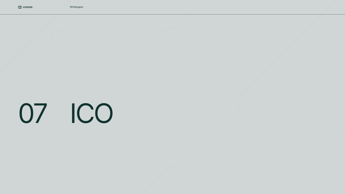Whitepaper

# 07 ICO

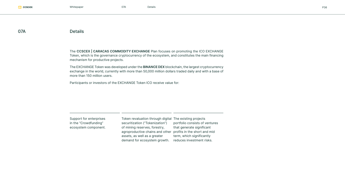Whitepaper 07A Details P36

#### 07A Details

The **CCSCEX | CARACAS COMMODITY EXCHANGE** Plan focuses on promoting the ICO EXCHANGE Token, which is the governance cryptocurrency of the ecosystem, and constitutes the main financing mechanism for productive projects.

The EXCHANGE Token was developed under the **BINANCE DEX** blockchain, the largest cryptocurrency exchange in the world, currently with more than 50,000 million dollars traded daily and with a base of more than 150 million users.

Participants or investors of the EXCHANGE Token ICO receive value for:

Support for enterprises in the "Crowdfunding" ecosystem component.

Token revaluation through digital The existing projects securitization ("Tokenization") of mining reserves, forestry, agroproductive chains and other profits in the short and mid assets, as well as a greater demand for ecosystem growth. portfolio consists of ventures that generate significant term, which significantly reduces investment risks.

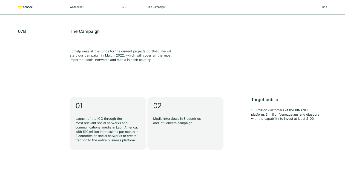### 07B The Campaign

### Target public

150 million customers of the BINANCE platform, 3 million Venezuelans and diaspora Launch of the ICO through the Media interviews in 8 countries with the capability to invest at least \$100.



To help raise all the funds for the current projects portfolio, we will start our campaign in March 2022, which will cover all the most important social networks and media in each country:

most relevant social networks and communicational media in Latin America, with 510 million impressions per month in 8 countries on social networks to create traction to the entire business platform.

01 02

Media interviews in 8 countries and influencers campaign.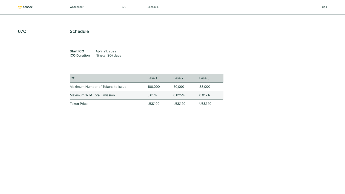Whitepaper P38

## 07C Schedule

**Start ICO April 21, 2022 ICO Duration Ninety (90) days** 

| <b>ICO</b>                        | Fase 1         | Fase 2         | Fase 3         |
|-----------------------------------|----------------|----------------|----------------|
| Maximum Number of Tokens to Issue | 100,000        | 50,000         | 33,000         |
| Maximum % of Total Emission       | 0.05%          | 0.025%         | 0.017%         |
| <b>Token Price</b>                | <b>US\$100</b> | <b>US\$120</b> | <b>US\$140</b> |

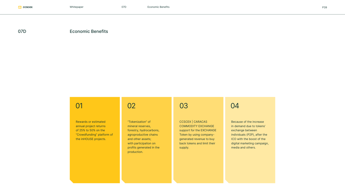### 07D Economic Benefits

Rewards or estimated annual project returns of 25% to 50% on the "Crowdfunding" platform of the inHOUSE projects.

"Tokenization" of mineral reserves, forestry, hydrocarbons, agroproductive chains and other assets; with participation on profits generated in the production.

# 01 02 03 04

CCSCEX | CARACAS COMMODITY EXCHANGE support for the EXCHANGE Token by using companygenerated revenue to buy back tokens and limit their supply.

Because of the increase in demand due to tokens' exchange between individuals (P2P), after the ICO with the boost of the digital marketing campaign, media and others.

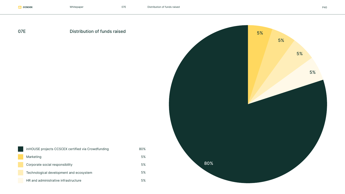# 07E Distribution of funds raised





| inHOUSE projects CCSCEX certified via Crowdfunding | 80% |
|----------------------------------------------------|-----|
| Marketing                                          | 5%  |
| Corporate social responsibility                    | 5%  |
| Technological development and ecosystem            | 5%  |
| HR and administrative infrastructure               | 5%  |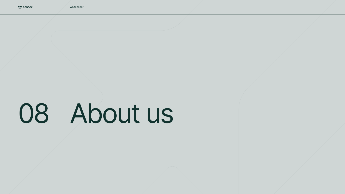# 08 About us

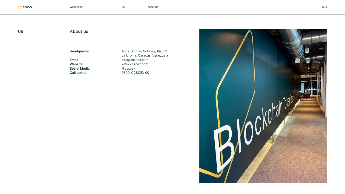Whitepaper 08 About us P42

#### 08 About us

**Headquarter**

**Email Website Social Media Call center**

Torre Ultimas Noticias, Piso 11 La Urbina, Caracas. Venezuela info@ccscex.com www.ccscex.com @ccscex 0800-CCSCEX 00